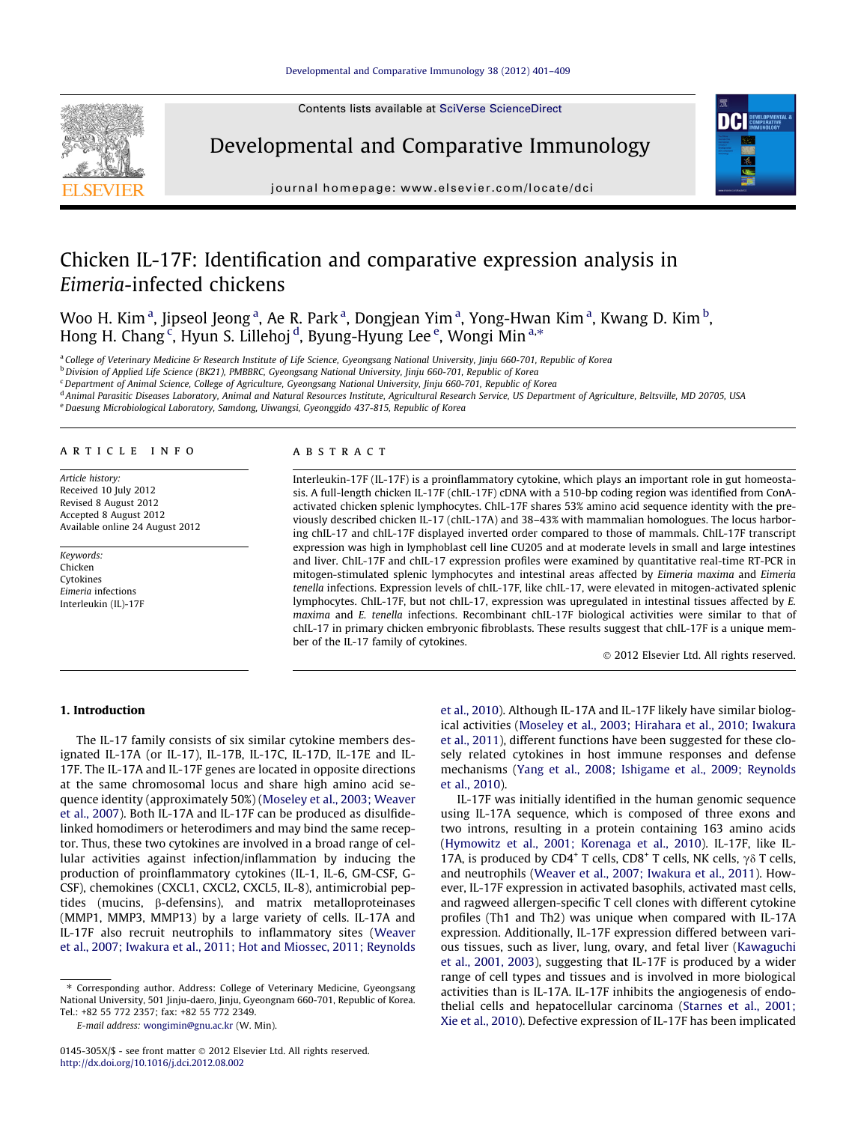Contents lists available at [SciVerse ScienceDirect](http://www.sciencedirect.com/science/journal/0145305X)

# Developmental and Comparative Immunology



journal homepage: [www.elsevier.com/locate/dci](http://www.elsevier.com/locate/dci)

# Chicken IL-17F: Identification and comparative expression analysis in Eimeria-infected chickens

Woo H. Kim $^{\rm a}$ , Jipseol Jeong $^{\rm a}$ , Ae R. Park $^{\rm a}$ , Dongjean Yim $^{\rm a}$ , Yong-Hwan Kim $^{\rm a}$ , Kwang D. Kim $^{\rm b}$ , Hong H. Chang<sup>c</sup>, Hyun S. Lillehoj<sup>d</sup>, Byung-Hyung Lee<sup>e</sup>, Wongi Min<sup>a,\*</sup>

a College of Veterinary Medicine & Research Institute of Life Science, Gyeongsang National University, Jinju 660-701, Republic of Korea

<sup>b</sup> Division of Applied Life Science (BK21), PMBBRC, Gyeongsang National University, Jinju 660-701, Republic of Korea

<sup>c</sup> Department of Animal Science, College of Agriculture, Gyeongsang National University, Jinju 660-701, Republic of Korea

d Animal Parasitic Diseases Laboratory, Animal and Natural Resources Institute, Agricultural Research Service, US Department of Agriculture, Beltsville, MD 20705, USA

e Daesung Microbiological Laboratory, Samdong, Uiwangsi, Gyeonggido 437-815, Republic of Korea

#### article info

Article history: Received 10 July 2012 Revised 8 August 2012 Accepted 8 August 2012 Available online 24 August 2012

Keywords: Chicken Cytokines Eimeria infections Interleukin (IL)-17F

#### ABSTRACT

Interleukin-17F (IL-17F) is a proinflammatory cytokine, which plays an important role in gut homeostasis. A full-length chicken IL-17F (chIL-17F) cDNA with a 510-bp coding region was identified from ConAactivated chicken splenic lymphocytes. ChIL-17F shares 53% amino acid sequence identity with the previously described chicken IL-17 (chIL-17A) and 38–43% with mammalian homologues. The locus harboring chIL-17 and chIL-17F displayed inverted order compared to those of mammals. ChIL-17F transcript expression was high in lymphoblast cell line CU205 and at moderate levels in small and large intestines and liver. ChIL-17F and chIL-17 expression profiles were examined by quantitative real-time RT-PCR in mitogen-stimulated splenic lymphocytes and intestinal areas affected by Eimeria maxima and Eimeria tenella infections. Expression levels of chIL-17F, like chIL-17, were elevated in mitogen-activated splenic lymphocytes. ChIL-17F, but not chIL-17, expression was upregulated in intestinal tissues affected by E. maxima and E. tenella infections. Recombinant chIL-17F biological activities were similar to that of chIL-17 in primary chicken embryonic fibroblasts. These results suggest that chIL-17F is a unique member of the IL-17 family of cytokines.

- 2012 Elsevier Ltd. All rights reserved.

# 1. Introduction

The IL-17 family consists of six similar cytokine members designated IL-17A (or IL-17), IL-17B, IL-17C, IL-17D, IL-17E and IL-17F. The IL-17A and IL-17F genes are located in opposite directions at the same chromosomal locus and share high amino acid sequence identity (approximately 50%) ([Moseley et al., 2003; Weaver](#page-8-0) [et al., 2007](#page-8-0)). Both IL-17A and IL-17F can be produced as disulfidelinked homodimers or heterodimers and may bind the same receptor. Thus, these two cytokines are involved in a broad range of cellular activities against infection/inflammation by inducing the production of proinflammatory cytokines (IL-1, IL-6, GM-CSF, G-CSF), chemokines (CXCL1, CXCL2, CXCL5, IL-8), antimicrobial peptides (mucins, b-defensins), and matrix metalloproteinases (MMP1, MMP3, MMP13) by a large variety of cells. IL-17A and IL-17F also recruit neutrophils to inflammatory sites ([Weaver](#page-8-0) [et al., 2007; Iwakura et al., 2011; Hot and Miossec, 2011; Reynolds](#page-8-0)

⇑ Corresponding author. Address: College of Veterinary Medicine, Gyeongsang National University, 501 Jinju-daero, Jinju, Gyeongnam 660-701, Republic of Korea. Tel.: +82 55 772 2357; fax: +82 55 772 2349.

E-mail address: [wongimin@gnu.ac.kr](mailto:wongimin@gnu.ac.kr) (W. Min).

[et al., 2010](#page-8-0)). Although IL-17A and IL-17F likely have similar biological activities ([Moseley et al., 2003; Hirahara et al., 2010; Iwakura](#page-8-0) [et al., 2011\)](#page-8-0), different functions have been suggested for these closely related cytokines in host immune responses and defense mechanisms ([Yang et al., 2008; Ishigame et al., 2009; Reynolds](#page-8-0) [et al., 2010\)](#page-8-0).

IL-17F was initially identified in the human genomic sequence using IL-17A sequence, which is composed of three exons and two introns, resulting in a protein containing 163 amino acids ([Hymowitz et al., 2001; Korenaga et al., 2010\)](#page-7-0). IL-17F, like IL-17A, is produced by CD4<sup>+</sup> T cells, CD8<sup>+</sup> T cells, NK cells,  $\gamma \delta$  T cells, and neutrophils ([Weaver et al., 2007; Iwakura et al., 2011\)](#page-8-0). However, IL-17F expression in activated basophils, activated mast cells, and ragweed allergen-specific T cell clones with different cytokine profiles (Th1 and Th2) was unique when compared with IL-17A expression. Additionally, IL-17F expression differed between various tissues, such as liver, lung, ovary, and fetal liver [\(Kawaguchi](#page-7-0) [et al., 2001, 2003\)](#page-7-0), suggesting that IL-17F is produced by a wider range of cell types and tissues and is involved in more biological activities than is IL-17A. IL-17F inhibits the angiogenesis of endothelial cells and hepatocellular carcinoma ([Starnes et al., 2001;](#page-8-0) [Xie et al., 2010](#page-8-0)). Defective expression of IL-17F has been implicated

<sup>0145-305</sup>X/\$ - see front matter © 2012 Elsevier Ltd. All rights reserved. <http://dx.doi.org/10.1016/j.dci.2012.08.002>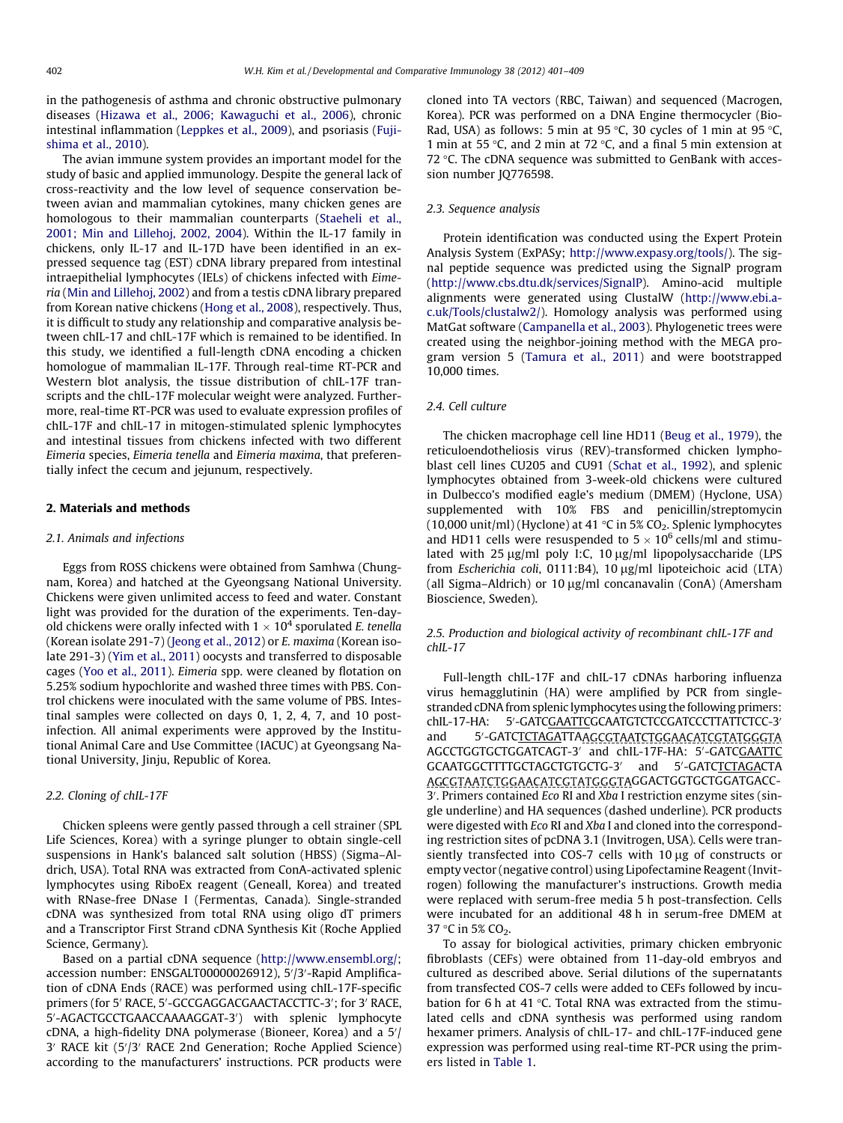in the pathogenesis of asthma and chronic obstructive pulmonary diseases [\(Hizawa et al., 2006; Kawaguchi et al., 2006\)](#page-7-0), chronic intestinal inflammation ([Leppkes et al., 2009](#page-8-0)), and psoriasis [\(Fuji](#page-7-0)[shima et al., 2010](#page-7-0)).

The avian immune system provides an important model for the study of basic and applied immunology. Despite the general lack of cross-reactivity and the low level of sequence conservation between avian and mammalian cytokines, many chicken genes are homologous to their mammalian counterparts [\(Staeheli et al.,](#page-8-0) [2001; Min and Lillehoj, 2002, 2004](#page-8-0)). Within the IL-17 family in chickens, only IL-17 and IL-17D have been identified in an expressed sequence tag (EST) cDNA library prepared from intestinal intraepithelial lymphocytes (IELs) of chickens infected with Eimeria ([Min and Lillehoj, 2002\)](#page-8-0) and from a testis cDNA library prepared from Korean native chickens ([Hong et al., 2008](#page-7-0)), respectively. Thus, it is difficult to study any relationship and comparative analysis between chIL-17 and chIL-17F which is remained to be identified. In this study, we identified a full-length cDNA encoding a chicken homologue of mammalian IL-17F. Through real-time RT-PCR and Western blot analysis, the tissue distribution of chIL-17F transcripts and the chIL-17F molecular weight were analyzed. Furthermore, real-time RT-PCR was used to evaluate expression profiles of chIL-17F and chIL-17 in mitogen-stimulated splenic lymphocytes and intestinal tissues from chickens infected with two different Eimeria species, Eimeria tenella and Eimeria maxima, that preferentially infect the cecum and jejunum, respectively.

#### 2. Materials and methods

#### 2.1. Animals and infections

Eggs from ROSS chickens were obtained from Samhwa (Chungnam, Korea) and hatched at the Gyeongsang National University. Chickens were given unlimited access to feed and water. Constant light was provided for the duration of the experiments. Ten-dayold chickens were orally infected with 1  $\times$  10<sup>4</sup> sporulated *E. tenella* (Korean isolate 291-7) [\(Jeong et al., 2012](#page-7-0)) or E. maxima (Korean isolate 291-3) ([Yim et al., 2011](#page-8-0)) oocysts and transferred to disposable cages [\(Yoo et al., 2011](#page-8-0)). Eimeria spp. were cleaned by flotation on 5.25% sodium hypochlorite and washed three times with PBS. Control chickens were inoculated with the same volume of PBS. Intestinal samples were collected on days 0, 1, 2, 4, 7, and 10 postinfection. All animal experiments were approved by the Institutional Animal Care and Use Committee (IACUC) at Gyeongsang National University, Jinju, Republic of Korea.

## 2.2. Cloning of chIL-17F

Chicken spleens were gently passed through a cell strainer (SPL Life Sciences, Korea) with a syringe plunger to obtain single-cell suspensions in Hank's balanced salt solution (HBSS) (Sigma–Aldrich, USA). Total RNA was extracted from ConA-activated splenic lymphocytes using RiboEx reagent (Geneall, Korea) and treated with RNase-free DNase I (Fermentas, Canada). Single-stranded cDNA was synthesized from total RNA using oligo dT primers and a Transcriptor First Strand cDNA Synthesis Kit (Roche Applied Science, Germany).

Based on a partial cDNA sequence [\(http://www.ensembl.org/;](http://www.ensembl.org/) accession number: ENSGALT00000026912), 5'/3'-Rapid Amplification of cDNA Ends (RACE) was performed using chIL-17F-specific primers (for 5' RACE, 5'-GCCGAGGACGAACTACCTTC-3'; for 3' RACE, 5'-AGACTGCCTGAACCAAAAGGAT-3') with splenic lymphocyte  $c$ DNA, a high-fidelity DNA polymerase (Bioneer, Korea) and a  $5^{\prime}/$ 3' RACE kit (5'/3' RACE 2nd Generation; Roche Applied Science) according to the manufacturers' instructions. PCR products were cloned into TA vectors (RBC, Taiwan) and sequenced (Macrogen, Korea). PCR was performed on a DNA Engine thermocycler (Bio-Rad, USA) as follows: 5 min at 95 °C, 30 cycles of 1 min at 95 °C. 1 min at 55 °C, and 2 min at 72 °C, and a final 5 min extension at 72  $\degree$ C. The cDNA sequence was submitted to GenBank with accession number JQ776598.

## 2.3. Sequence analysis

Protein identification was conducted using the Expert Protein Analysis System (ExPASy; [http://www.expasy.org/tools/\)](http://www.expasy.org/tools/). The signal peptide sequence was predicted using the SignalP program ([http://www.cbs.dtu.dk/services/SignalP\)](http://www.cbs.dtu.dk/services/SignalP). Amino-acid multiple alignments were generated using ClustalW [\(http://www.ebi.a](http://www.ebi.ac.uk/Tools/clustalw2/)[c.uk/Tools/clustalw2/](http://www.ebi.ac.uk/Tools/clustalw2/)). Homology analysis was performed using MatGat software ([Campanella et al., 2003](#page-7-0)). Phylogenetic trees were created using the neighbor-joining method with the MEGA program version 5 ([Tamura et al., 2011](#page-8-0)) and were bootstrapped 10,000 times.

# 2.4. Cell culture

The chicken macrophage cell line HD11 ([Beug et al., 1979](#page-7-0)), the reticuloendotheliosis virus (REV)-transformed chicken lymphoblast cell lines CU205 and CU91 [\(Schat et al., 1992\)](#page-8-0), and splenic lymphocytes obtained from 3-week-old chickens were cultured in Dulbecco's modified eagle's medium (DMEM) (Hyclone, USA) supplemented with 10% FBS and penicillin/streptomycin (10,000 unit/ml) (Hyclone) at 41 °C in 5% CO<sub>2</sub>. Splenic lymphocytes and HD11 cells were resuspended to  $5 \times 10^6$  cells/ml and stimulated with 25  $\mu$ g/ml poly I:C, 10  $\mu$ g/ml lipopolysaccharide (LPS from Escherichia coli, 0111:B4), 10 µg/ml lipoteichoic acid (LTA) (all Sigma–Aldrich) or 10  $\mu$ g/ml concanavalin (ConA) (Amersham Bioscience, Sweden).

## 2.5. Production and biological activity of recombinant chIL-17F and chIL-17

Full-length chIL-17F and chIL-17 cDNAs harboring influenza virus hemagglutinin (HA) were amplified by PCR from singlestranded cDNA from splenic lymphocytes using the following primers: chIL-17-HA: 5'-GATCCAATTCGCAATGTCTCCGATCCCTTATTCTCC-3 and 5'-GATCTCTAGATTAAGCGTAATCTGGAACATCGTATGGGTA AGCCTGGTGCTGGATCAGT-3<sup>,</sup> and chIL-17F-HA: 5'-GATCCAATTC GCAATGGCTTTTGCTAGCTGTGCTG-3' and 5'-GATCTCTAGACTA AGCGTAATCTGGAACATCGTATGGGTAGGACTGGTGCTGGATGACC-3'. Primers contained Eco RI and Xba I restriction enzyme sites (single underline) and HA sequences (dashed underline). PCR products were digested with Eco RI and Xba I and cloned into the corresponding restriction sites of pcDNA 3.1 (Invitrogen, USA). Cells were transiently transfected into COS-7 cells with 10 µg of constructs or empty vector (negative control) using Lipofectamine Reagent (Invitrogen) following the manufacturer's instructions. Growth media were replaced with serum-free media 5 h post-transfection. Cells were incubated for an additional 48 h in serum-free DMEM at 37 °C in 5% CO<sub>2</sub>.

To assay for biological activities, primary chicken embryonic fibroblasts (CEFs) were obtained from 11-day-old embryos and cultured as described above. Serial dilutions of the supernatants from transfected COS-7 cells were added to CEFs followed by incubation for 6 h at 41  $\degree$ C. Total RNA was extracted from the stimulated cells and cDNA synthesis was performed using random hexamer primers. Analysis of chIL-17- and chIL-17F-induced gene expression was performed using real-time RT-PCR using the primers listed in [Table 1.](#page-2-0)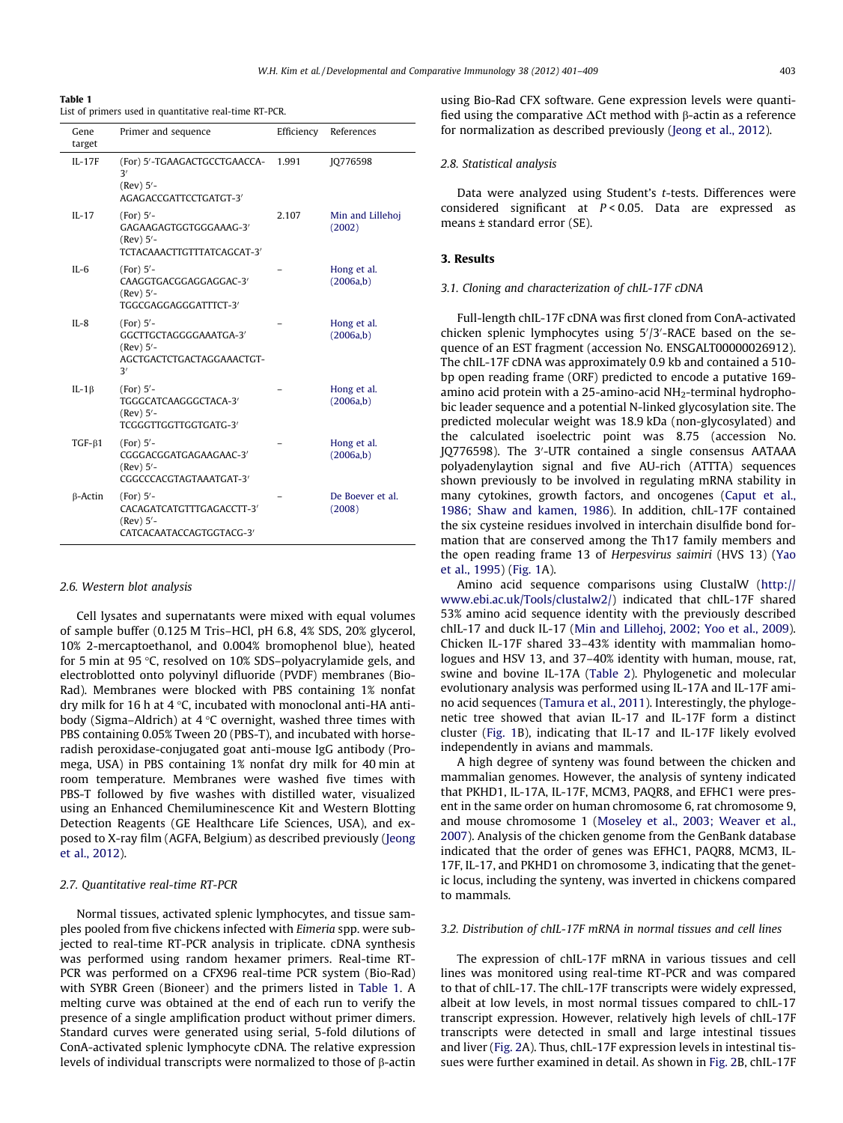#### <span id="page-2-0"></span>Table 1

List of primers used in quantitative real-time RT-PCR.

| Gene<br>target | Primer and sequence                                                                       | Efficiency | References                 |  |  |
|----------------|-------------------------------------------------------------------------------------------|------------|----------------------------|--|--|
| $IL-17F$       | (For) 5'-TGAAGACTGCCTGAACCA-<br>3'<br>$(Rev) 5'$ -<br>AGAGACCGATTCCTGATGT-3'              | 1.991      | 10776598                   |  |  |
| $II - 17$      | $(For) 5'$ -<br>GAGAAGAGTGGTGGGAAAG-3'<br>$(Rev) 5'$ -<br>TCTACAAACTTGTTTATCAGCAT-3'      | 2.107      | Min and Lillehoj<br>(2002) |  |  |
| $IL-6$         | $(For) 5'$ -<br>CAAGGTGACGGAGGAGGAC-3'<br>$(Rev) 5'$ -<br>TGGCGAGGAGGGATTTCT-3'           |            | Hong et al.<br>(2006a,b)   |  |  |
| $IL - 8$       | $(For) 5'$ -<br>GGCTTGCTAGGGGAAATGA-3'<br>$(Rev) 5'$ -<br>AGCTGACTCTGACTAGGAAACTGT-<br>3' |            | Hong et al.<br>(2006a,b)   |  |  |
| $IL-1\beta$    | $(For) 5'$ -<br>TGGGCATCAAGGGCTACA-3'<br>$(Rev) 5'$ -<br>TCGGGTTGGTTGGTGATG-3'            |            | Hong et al.<br>(2006a,b)   |  |  |
| $TGF-\beta1$   | $(For) 5'$ -<br>CGGGACGGATGAGAAGAAC-3'<br>$(Rev) 5'$ -<br>CGGCCCACGTAGTAAATGAT-3'         |            | Hong et al.<br>(2006a,b)   |  |  |
| $\beta$ -Actin | (For) 5'<br>CACAGATCATGTTTGAGACCTT-3'<br>$(Rev) 5'$ -<br>CATCACAATACCAGTGGTACG-3'         |            | De Boever et al.<br>(2008) |  |  |

#### 2.6. Western blot analysis

Cell lysates and supernatants were mixed with equal volumes of sample buffer (0.125 M Tris–HCl, pH 6.8, 4% SDS, 20% glycerol, 10% 2-mercaptoethanol, and 0.004% bromophenol blue), heated for 5 min at 95 °C, resolved on 10% SDS-polyacrylamide gels, and electroblotted onto polyvinyl difluoride (PVDF) membranes (Bio-Rad). Membranes were blocked with PBS containing 1% nonfat dry milk for 16 h at 4  $\degree$ C, incubated with monoclonal anti-HA antibody (Sigma-Aldrich) at  $4 °C$  overnight, washed three times with PBS containing 0.05% Tween 20 (PBS-T), and incubated with horseradish peroxidase-conjugated goat anti-mouse IgG antibody (Promega, USA) in PBS containing 1% nonfat dry milk for 40 min at room temperature. Membranes were washed five times with PBS-T followed by five washes with distilled water, visualized using an Enhanced Chemiluminescence Kit and Western Blotting Detection Reagents (GE Healthcare Life Sciences, USA), and exposed to X-ray film (AGFA, Belgium) as described previously ([Jeong](#page-7-0) [et al., 2012\)](#page-7-0).

## 2.7. Quantitative real-time RT-PCR

Normal tissues, activated splenic lymphocytes, and tissue samples pooled from five chickens infected with Eimeria spp. were subjected to real-time RT-PCR analysis in triplicate. cDNA synthesis was performed using random hexamer primers. Real-time RT-PCR was performed on a CFX96 real-time PCR system (Bio-Rad) with SYBR Green (Bioneer) and the primers listed in Table 1. A melting curve was obtained at the end of each run to verify the presence of a single amplification product without primer dimers. Standard curves were generated using serial, 5-fold dilutions of ConA-activated splenic lymphocyte cDNA. The relative expression levels of individual transcripts were normalized to those of  $\beta$ -actin using Bio-Rad CFX software. Gene expression levels were quantified using the comparative  $\Delta$ Ct method with B-actin as a reference for normalization as described previously [\(Jeong et al., 2012\)](#page-7-0).

#### 2.8. Statistical analysis

Data were analyzed using Student's t-tests. Differences were considered significant at P < 0.05. Data are expressed as means ± standard error (SE).

#### 3. Results

#### 3.1. Cloning and characterization of chIL-17F cDNA

Full-length chIL-17F cDNA was first cloned from ConA-activated chicken splenic lymphocytes using  $5'/3'$ -RACE based on the sequence of an EST fragment (accession No. ENSGALT00000026912). The chIL-17F cDNA was approximately 0.9 kb and contained a 510 bp open reading frame (ORF) predicted to encode a putative 169 amino acid protein with a 25-amino-acid  $NH<sub>2</sub>$ -terminal hydrophobic leader sequence and a potential N-linked glycosylation site. The predicted molecular weight was 18.9 kDa (non-glycosylated) and the calculated isoelectric point was 8.75 (accession No. JQ776598). The 3'-UTR contained a single consensus AATAAA polyadenylaytion signal and five AU-rich (ATTTA) sequences shown previously to be involved in regulating mRNA stability in many cytokines, growth factors, and oncogenes ([Caput et al.,](#page-7-0) [1986; Shaw and kamen, 1986\)](#page-7-0). In addition, chIL-17F contained the six cysteine residues involved in interchain disulfide bond formation that are conserved among the Th17 family members and the open reading frame 13 of Herpesvirus saimiri (HVS 13) ([Yao](#page-8-0) [et al., 1995\)](#page-8-0) [\(Fig. 1A](#page-3-0)).

Amino acid sequence comparisons using ClustalW ([http://](http://www.ebi.ac.uk/Tools/clustalw2/) [www.ebi.ac.uk/Tools/clustalw2/\)](http://www.ebi.ac.uk/Tools/clustalw2/) indicated that chIL-17F shared 53% amino acid sequence identity with the previously described chIL-17 and duck IL-17 [\(Min and Lillehoj, 2002; Yoo et al., 2009\)](#page-8-0). Chicken IL-17F shared 33–43% identity with mammalian homologues and HSV 13, and 37–40% identity with human, mouse, rat, swine and bovine IL-17A ([Table 2\)](#page-4-0). Phylogenetic and molecular evolutionary analysis was performed using IL-17A and IL-17F amino acid sequences [\(Tamura et al., 2011](#page-8-0)). Interestingly, the phylogenetic tree showed that avian IL-17 and IL-17F form a distinct cluster [\(Fig. 1B](#page-3-0)), indicating that IL-17 and IL-17F likely evolved independently in avians and mammals.

A high degree of synteny was found between the chicken and mammalian genomes. However, the analysis of synteny indicated that PKHD1, IL-17A, IL-17F, MCM3, PAQR8, and EFHC1 were present in the same order on human chromosome 6, rat chromosome 9, and mouse chromosome 1 [\(Moseley et al., 2003; Weaver et al.,](#page-8-0) [2007](#page-8-0)). Analysis of the chicken genome from the GenBank database indicated that the order of genes was EFHC1, PAQR8, MCM3, IL-17F, IL-17, and PKHD1 on chromosome 3, indicating that the genetic locus, including the synteny, was inverted in chickens compared to mammals.

### 3.2. Distribution of chIL-17F mRNA in normal tissues and cell lines

The expression of chIL-17F mRNA in various tissues and cell lines was monitored using real-time RT-PCR and was compared to that of chIL-17. The chIL-17F transcripts were widely expressed, albeit at low levels, in most normal tissues compared to chIL-17 transcript expression. However, relatively high levels of chIL-17F transcripts were detected in small and large intestinal tissues and liver [\(Fig. 2](#page-4-0)A). Thus, chIL-17F expression levels in intestinal tissues were further examined in detail. As shown in [Fig. 2](#page-4-0)B, chIL-17F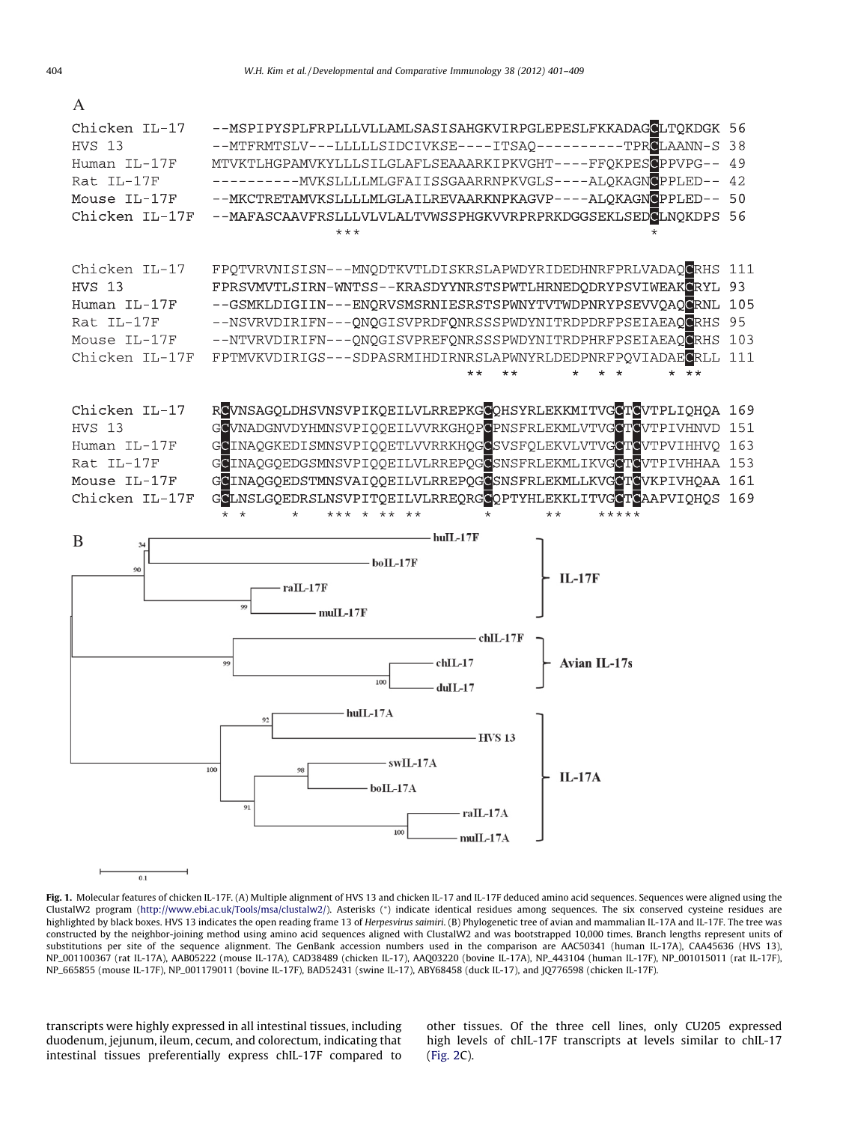<span id="page-3-0"></span>

Fig. 1. Molecular features of chicken IL-17F. (A) Multiple alignment of HVS 13 and chicken IL-17 and IL-17F deduced amino acid sequences. Sequences were aligned using the ClustalW2 program [\(http://www.ebi.ac.uk/Tools/msa/clustalw2/\)](http://www.ebi.ac.uk/Tools/msa/clustalw2/). Asterisks (\*) indicate identical residues among sequences. The six conserved cysteine residues are highlighted by black boxes. HVS 13 indicates the open reading frame 13 of Herpesvirus saimiri. (B) Phylogenetic tree of avian and mammalian IL-17A and IL-17F. The tree was constructed by the neighbor-joining method using amino acid sequences aligned with ClustalW2 and was bootstrapped 10,000 times. Branch lengths represent units of substitutions per site of the sequence alignment. The GenBank accession numbers used in the comparison are AAC50341 (human IL-17A), CAA45636 (HVS 13), NP\_001100367 (rat IL-17A), AAB05222 (mouse IL-17A), CAD38489 (chicken IL-17), AAQ03220 (bovine IL-17A), NP\_443104 (human IL-17F), NP\_001015011 (rat IL-17F), NP\_665855 (mouse IL-17F), NP\_001179011 (bovine IL-17F), BAD52431 (swine IL-17), ABY68458 (duck IL-17), and JQ776598 (chicken IL-17F).

swIL-17A

 $boII<sub>-17A</sub>$ 

**HVS 13** 

raIL-17A muIL-17A

transcripts were highly expressed in all intestinal tissues, including duodenum, jejunum, ileum, cecum, and colorectum, indicating that intestinal tissues preferentially express chIL-17F compared to

100

 $0.1$ 

other tissues. Of the three cell lines, only CU205 expressed high levels of chIL-17F transcripts at levels similar to chIL-17 ([Fig. 2](#page-4-0)C).

 $IL-17A$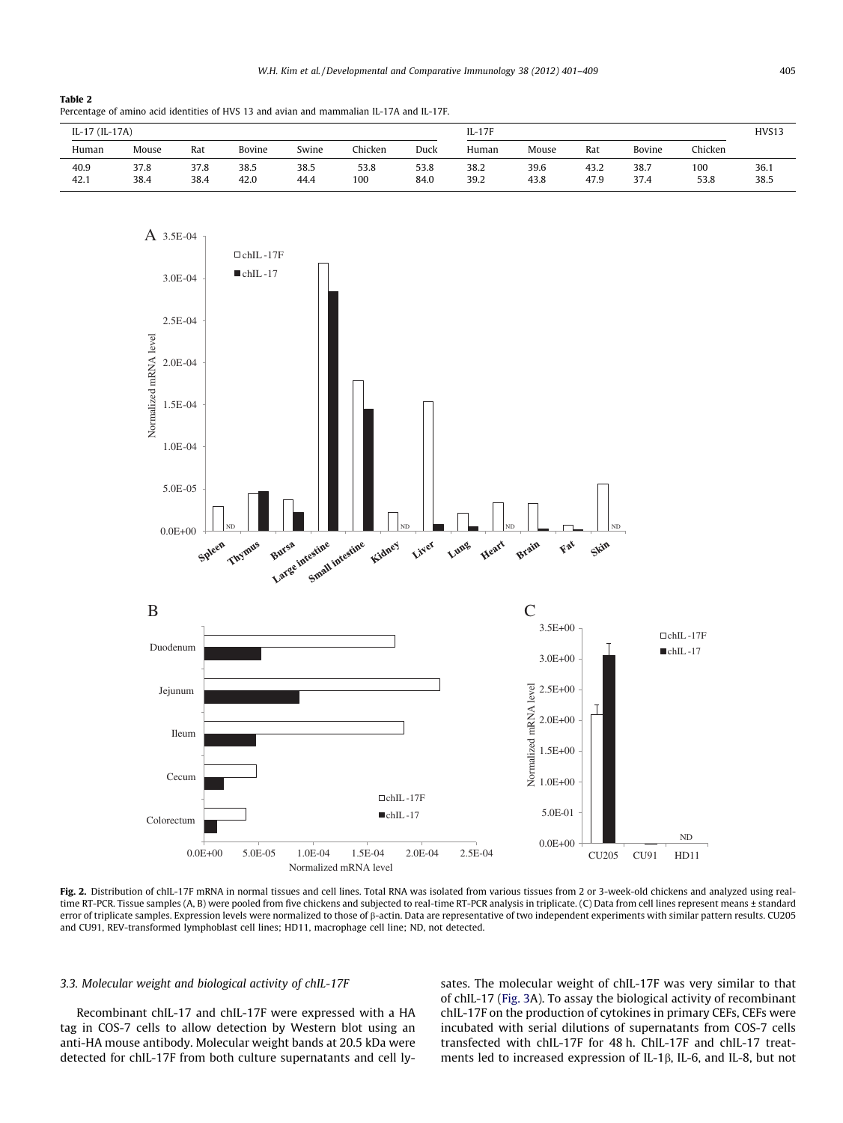<span id="page-4-0"></span>Table 2 Percentage of amino acid identities of HVS 13 and avian and mammalian IL-17A and IL-17F.

| IL-17 (IL-17A) |       |      |        |       |         | $IL-17F$ |       |       |      | HVS13  |         |      |
|----------------|-------|------|--------|-------|---------|----------|-------|-------|------|--------|---------|------|
| Human          | Mouse | Rat  | Bovine | Swine | Chicken | Duck     | Human | Mouse | Rat  | Bovine | Chicken |      |
| 40.9           | 37.8  | 37.8 | 38.5   | 38.5  | 53.8    | 53.8     | 38.2  | 39.6  | 43.2 | 38.7   | 100     | 36.1 |
| 42.1           | 38.4  | 38.4 | 42.0   | 44.4  | 100     | 84.0     | 39.2  | 43.8  | 47.9 | 37.4   | 53.8    | 38.5 |



Fig. 2. Distribution of chIL-17F mRNA in normal tissues and cell lines. Total RNA was isolated from various tissues from 2 or 3-week-old chickens and analyzed using realtime RT-PCR. Tissue samples (A, B) were pooled from five chickens and subjected to real-time RT-PCR analysis in triplicate. (C) Data from cell lines represent means ± standard error of triplicate samples. Expression levels were normalized to those of  $\beta$ -actin. Data are representative of two independent experiments with similar pattern results. CU205 and CU91, REV-transformed lymphoblast cell lines; HD11, macrophage cell line; ND, not detected.

#### 3.3. Molecular weight and biological activity of chIL-17F

Recombinant chIL-17 and chIL-17F were expressed with a HA tag in COS-7 cells to allow detection by Western blot using an anti-HA mouse antibody. Molecular weight bands at 20.5 kDa were detected for chIL-17F from both culture supernatants and cell lysates. The molecular weight of chIL-17F was very similar to that of chIL-17 ([Fig. 3A](#page-5-0)). To assay the biological activity of recombinant chIL-17F on the production of cytokines in primary CEFs, CEFs were incubated with serial dilutions of supernatants from COS-7 cells transfected with chIL-17F for 48 h. ChIL-17F and chIL-17 treatments led to increased expression of IL-1 $\beta$ , IL-6, and IL-8, but not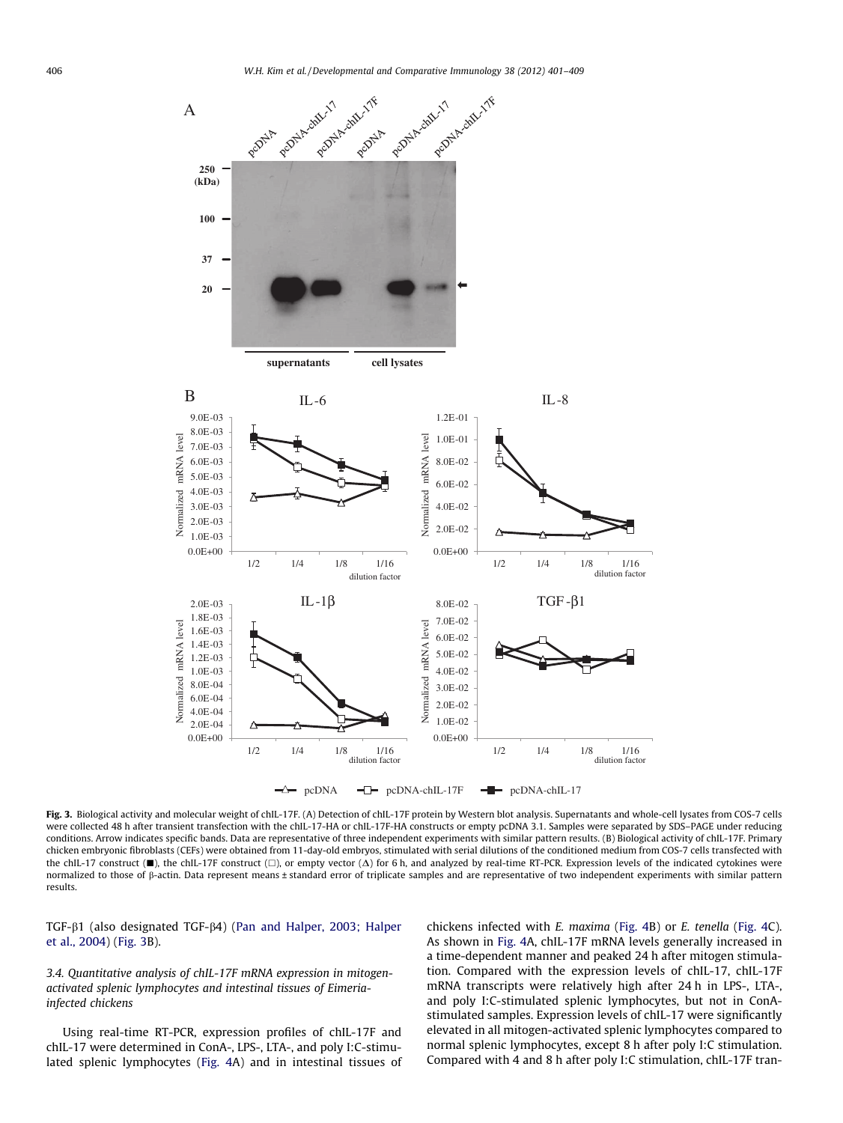<span id="page-5-0"></span>

Fig. 3. Biological activity and molecular weight of chIL-17F. (A) Detection of chIL-17F protein by Western blot analysis. Supernatants and whole-cell lysates from COS-7 cells were collected 48 h after transient transfection with the chIL-17-HA or chIL-17F-HA constructs or empty pcDNA 3.1. Samples were separated by SDS–PAGE under reducing conditions. Arrow indicates specific bands. Data are representative of three independent experiments with similar pattern results. (B) Biological activity of chIL-17F. Primary chicken embryonic fibroblasts (CEFs) were obtained from 11-day-old embryos, stimulated with serial dilutions of the conditioned medium from COS-7 cells transfected with the chIL-17 construct ( $\blacksquare$ ), the chIL-17F construct ( $\Box$ ), or empty vector ( $\Delta$ ) for 6 h, and analyzed by real-time RT-PCR. Expression levels of the indicated cytokines were normalized to those of  $\beta$ -actin. Data represent means ± standard error of triplicate samples and are representative of two independent experiments with similar pattern results.

TGF-b1 (also designated TGF-b4) ([Pan and Halper, 2003; Halper](#page-8-0) [et al., 2004\)](#page-8-0) (Fig. 3B).

# 3.4. Quantitative analysis of chIL-17F mRNA expression in mitogenactivated splenic lymphocytes and intestinal tissues of Eimeriainfected chickens

Using real-time RT-PCR, expression profiles of chIL-17F and chIL-17 were determined in ConA-, LPS-, LTA-, and poly I:C-stimulated splenic lymphocytes [\(Fig. 4](#page-6-0)A) and in intestinal tissues of chickens infected with E. maxima ([Fig. 4B](#page-6-0)) or E. tenella ([Fig. 4C](#page-6-0)). As shown in [Fig. 4](#page-6-0)A, chIL-17F mRNA levels generally increased in a time-dependent manner and peaked 24 h after mitogen stimulation. Compared with the expression levels of chIL-17, chIL-17F mRNA transcripts were relatively high after 24 h in LPS-, LTA-, and poly I:C-stimulated splenic lymphocytes, but not in ConAstimulated samples. Expression levels of chIL-17 were significantly elevated in all mitogen-activated splenic lymphocytes compared to normal splenic lymphocytes, except 8 h after poly I:C stimulation. Compared with 4 and 8 h after poly I:C stimulation, chIL-17F tran-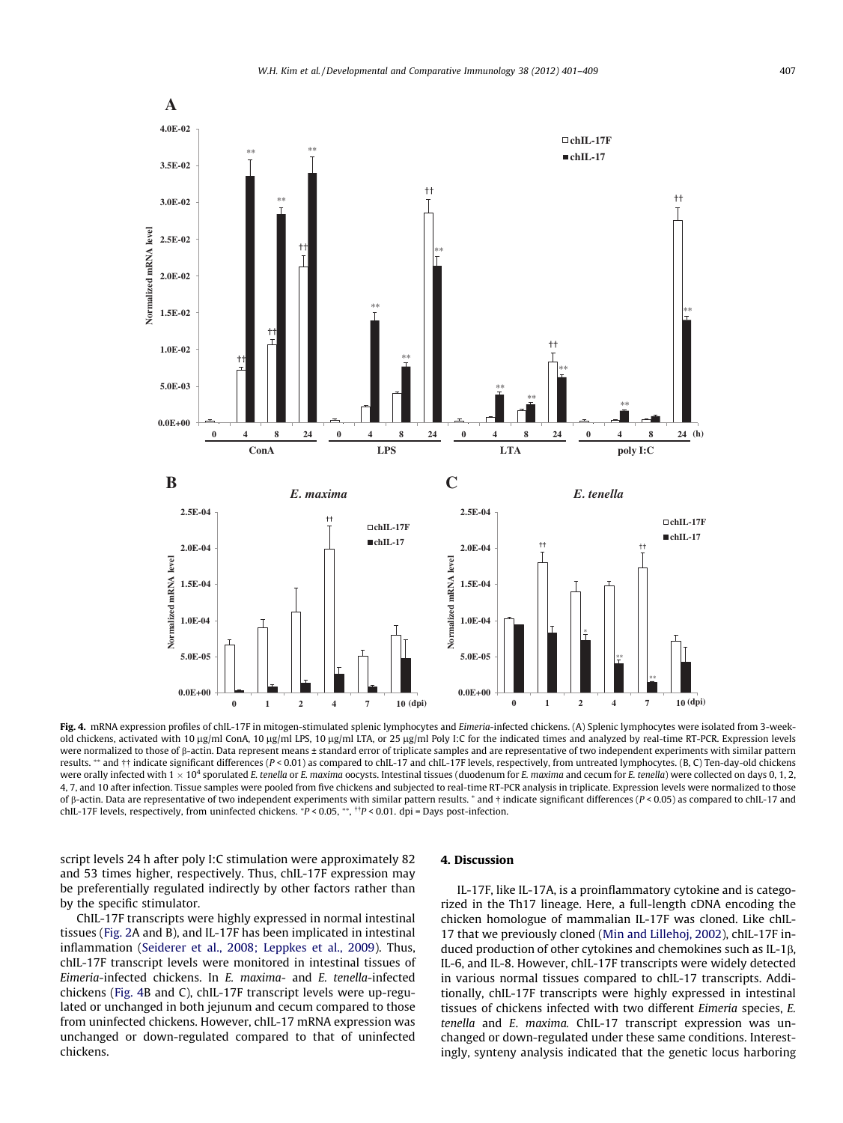<span id="page-6-0"></span>

Fig. 4. mRNA expression profiles of chIL-17F in mitogen-stimulated splenic lymphocytes and Eimeria-infected chickens. (A) Splenic lymphocytes were isolated from 3-weekold chickens, activated with 10 µg/ml ConA, 10 µg/ml LPS, 10 µg/ml LTA, or 25 µg/ml Poly I:C for the indicated times and analyzed by real-time RT-PCR. Expression levels were normalized to those of  $\beta$ -actin. Data represent means ± standard error of triplicate samples and are representative of two independent experiments with similar pattern results. \*\* and †† indicate significant differences (P < 0.01) as compared to chIL-17 and chIL-17F levels, respectively, from untreated lymphocytes. (B, C) Ten-day-old chickens were orally infected with 1  $\times$  10<sup>4</sup> sporulated E. tenella or E. maxima oocysts. Intestinal tissues (duodenum for E. maxima and cecum for E. tenella) were collected on days 0, 1, 2, 4, 7, and 10 after infection. Tissue samples were pooled from five chickens and subjected to real-time RT-PCR analysis in triplicate. Expression levels were normalized to those of  $\beta$ -actin. Data are representative of two independent experiments with similar pattern results. \* and † indicate significant differences (P < 0.05) as compared to chIL-17 and chIL-17F levels, respectively, from uninfected chickens.  $P < 0.05$ , \*\*,  $\frac{1}{1}P < 0.01$ . dpi = Days post-infection.

script levels 24 h after poly I:C stimulation were approximately 82 and 53 times higher, respectively. Thus, chIL-17F expression may be preferentially regulated indirectly by other factors rather than by the specific stimulator.

ChIL-17F transcripts were highly expressed in normal intestinal tissues [\(Fig. 2](#page-4-0)A and B), and IL-17F has been implicated in intestinal inflammation ([Seiderer et al., 2008; Leppkes et al., 2009\)](#page-8-0). Thus, chIL-17F transcript levels were monitored in intestinal tissues of Eimeria-infected chickens. In E. maxima- and E. tenella-infected chickens (Fig. 4B and C), chIL-17F transcript levels were up-regulated or unchanged in both jejunum and cecum compared to those from uninfected chickens. However, chIL-17 mRNA expression was unchanged or down-regulated compared to that of uninfected chickens.

#### 4. Discussion

IL-17F, like IL-17A, is a proinflammatory cytokine and is categorized in the Th17 lineage. Here, a full-length cDNA encoding the chicken homologue of mammalian IL-17F was cloned. Like chIL-17 that we previously cloned [\(Min and Lillehoj, 2002](#page-8-0)), chIL-17F induced production of other cytokines and chemokines such as IL-1 $\beta$ , IL-6, and IL-8. However, chIL-17F transcripts were widely detected in various normal tissues compared to chIL-17 transcripts. Additionally, chIL-17F transcripts were highly expressed in intestinal tissues of chickens infected with two different Eimeria species, E. tenella and E. maxima. ChIL-17 transcript expression was unchanged or down-regulated under these same conditions. Interestingly, synteny analysis indicated that the genetic locus harboring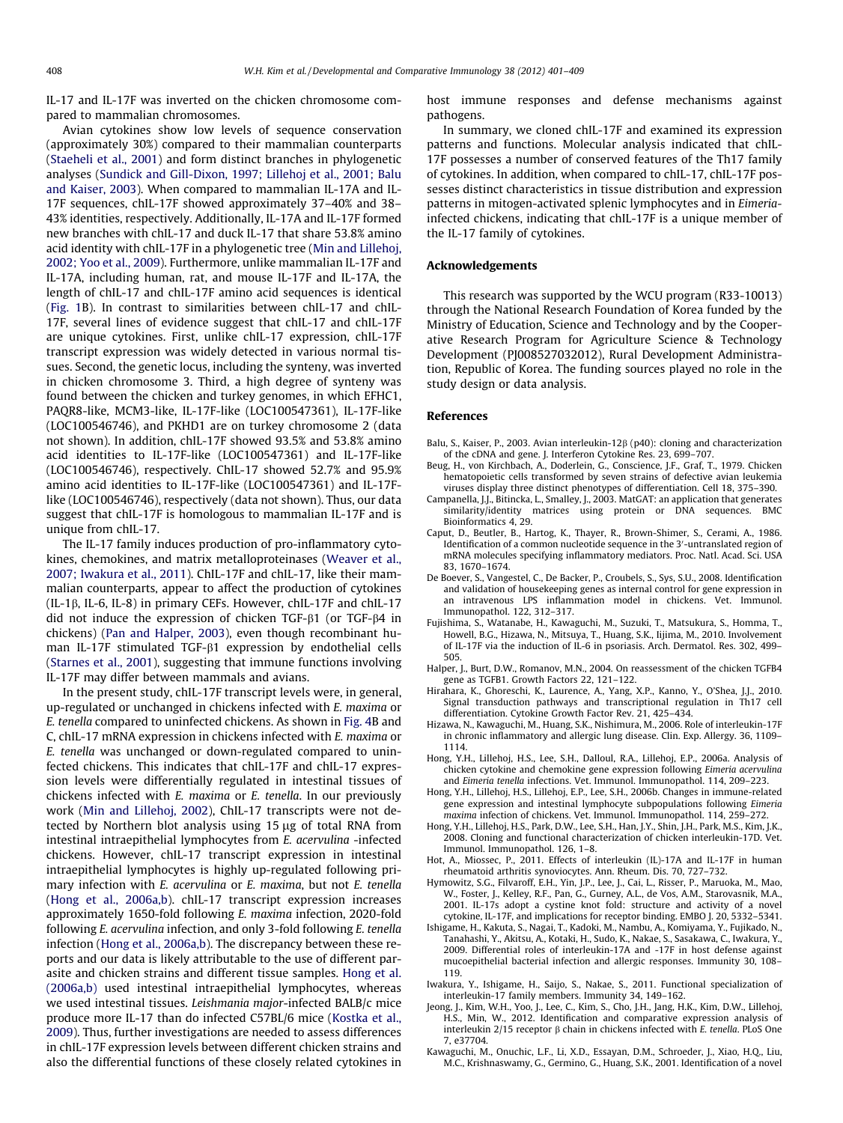<span id="page-7-0"></span>IL-17 and IL-17F was inverted on the chicken chromosome compared to mammalian chromosomes.

Avian cytokines show low levels of sequence conservation (approximately 30%) compared to their mammalian counterparts ([Staeheli et al., 2001\)](#page-8-0) and form distinct branches in phylogenetic analyses ([Sundick and Gill-Dixon, 1997; Lillehoj et al., 2001; Balu](#page-8-0) [and Kaiser, 2003](#page-8-0)). When compared to mammalian IL-17A and IL-17F sequences, chIL-17F showed approximately 37–40% and 38– 43% identities, respectively. Additionally, IL-17A and IL-17F formed new branches with chIL-17 and duck IL-17 that share 53.8% amino acid identity with chIL-17F in a phylogenetic tree [\(Min and Lillehoj,](#page-8-0) [2002; Yoo et al., 2009](#page-8-0)). Furthermore, unlike mammalian IL-17F and IL-17A, including human, rat, and mouse IL-17F and IL-17A, the length of chIL-17 and chIL-17F amino acid sequences is identical ([Fig. 1B](#page-3-0)). In contrast to similarities between chIL-17 and chIL-17F, several lines of evidence suggest that chIL-17 and chIL-17F are unique cytokines. First, unlike chIL-17 expression, chIL-17F transcript expression was widely detected in various normal tissues. Second, the genetic locus, including the synteny, was inverted in chicken chromosome 3. Third, a high degree of synteny was found between the chicken and turkey genomes, in which EFHC1, PAQR8-like, MCM3-like, IL-17F-like (LOC100547361), IL-17F-like (LOC100546746), and PKHD1 are on turkey chromosome 2 (data not shown). In addition, chIL-17F showed 93.5% and 53.8% amino acid identities to IL-17F-like (LOC100547361) and IL-17F-like (LOC100546746), respectively. ChIL-17 showed 52.7% and 95.9% amino acid identities to IL-17F-like (LOC100547361) and IL-17Flike (LOC100546746), respectively (data not shown). Thus, our data suggest that chIL-17F is homologous to mammalian IL-17F and is unique from chIL-17.

The IL-17 family induces production of pro-inflammatory cytokines, chemokines, and matrix metalloproteinases ([Weaver et al.,](#page-8-0) [2007; Iwakura et al., 2011\)](#page-8-0). ChIL-17F and chIL-17, like their mammalian counterparts, appear to affect the production of cytokines (IL-1 $\beta$ , IL-6, IL-8) in primary CEFs. However, chIL-17F and chIL-17 did not induce the expression of chicken TGF- $\beta$ 1 (or TGF- $\beta$ 4 in chickens) ([Pan and Halper, 2003](#page-8-0)), even though recombinant human IL-17F stimulated TGF-b1 expression by endothelial cells ([Starnes et al., 2001](#page-8-0)), suggesting that immune functions involving IL-17F may differ between mammals and avians.

In the present study, chIL-17F transcript levels were, in general, up-regulated or unchanged in chickens infected with E. maxima or E. tenella compared to uninfected chickens. As shown in [Fig. 4B](#page-6-0) and C, chIL-17 mRNA expression in chickens infected with E. maxima or E. tenella was unchanged or down-regulated compared to uninfected chickens. This indicates that chIL-17F and chIL-17 expression levels were differentially regulated in intestinal tissues of chickens infected with E. maxima or E. tenella. In our previously work ([Min and Lillehoj, 2002](#page-8-0)), ChIL-17 transcripts were not detected by Northern blot analysis using  $15 \mu g$  of total RNA from intestinal intraepithelial lymphocytes from E. acervulina -infected chickens. However, chIL-17 transcript expression in intestinal intraepithelial lymphocytes is highly up-regulated following primary infection with E. acervulina or E. maxima, but not E. tenella (Hong et al., 2006a,b). chIL-17 transcript expression increases approximately 1650-fold following E. maxima infection, 2020-fold following E. acervulina infection, and only 3-fold following E. tenella infection (Hong et al., 2006a,b). The discrepancy between these reports and our data is likely attributable to the use of different parasite and chicken strains and different tissue samples. Hong et al. (2006a,b) used intestinal intraepithelial lymphocytes, whereas we used intestinal tissues. Leishmania major-infected BALB/c mice produce more IL-17 than do infected C57BL/6 mice ([Kostka et al.,](#page-8-0) [2009\)](#page-8-0). Thus, further investigations are needed to assess differences in chIL-17F expression levels between different chicken strains and also the differential functions of these closely related cytokines in host immune responses and defense mechanisms against pathogens.

In summary, we cloned chIL-17F and examined its expression patterns and functions. Molecular analysis indicated that chIL-17F possesses a number of conserved features of the Th17 family of cytokines. In addition, when compared to chIL-17, chIL-17F possesses distinct characteristics in tissue distribution and expression patterns in mitogen-activated splenic lymphocytes and in Eimeriainfected chickens, indicating that chIL-17F is a unique member of the IL-17 family of cytokines.

### Acknowledgements

This research was supported by the WCU program (R33-10013) through the National Research Foundation of Korea funded by the Ministry of Education, Science and Technology and by the Cooperative Research Program for Agriculture Science & Technology Development (PJ008527032012), Rural Development Administration, Republic of Korea. The funding sources played no role in the study design or data analysis.

#### References

- Balu, S., Kaiser, P., 2003. Avian interleukin-12 $\beta$  (p40): cloning and characterization of the cDNA and gene. J. Interferon Cytokine Res. 23, 699–707.
- Beug, H., von Kirchbach, A., Doderlein, G., Conscience, J.F., Graf, T., 1979. Chicken hematopoietic cells transformed by seven strains of defective avian leukemia viruses display three distinct phenotypes of differentiation. Cell 18, 375–390.
- Campanella, J.J., Bitincka, L., Smalley, J., 2003. MatGAT: an application that generates similarity/identity matrices using protein or DNA sequences. BMC Bioinformatics 4, 29.
- Caput, D., Beutler, B., Hartog, K., Thayer, R., Brown-Shimer, S., Cerami, A., 1986. Identification of a common nucleotide sequence in the 3'-untranslated region of mRNA molecules specifying inflammatory mediators. Proc. Natl. Acad. Sci. USA 83, 1670–1674.
- De Boever, S., Vangestel, C., De Backer, P., Croubels, S., Sys, S.U., 2008. Identification and validation of housekeeping genes as internal control for gene expression in an intravenous LPS inflammation model in chickens. Vet. Immunol. Immunopathol. 122, 312–317.
- Fujishima, S., Watanabe, H., Kawaguchi, M., Suzuki, T., Matsukura, S., Homma, T., Howell, B.G., Hizawa, N., Mitsuya, T., Huang, S.K., Iijima, M., 2010. Involvement of IL-17F via the induction of IL-6 in psoriasis. Arch. Dermatol. Res. 302, 499– 505.
- Halper, J., Burt, D.W., Romanov, M.N., 2004. On reassessment of the chicken TGFB4 gene as TGFB1. Growth Factors 22, 121–122.
- Hirahara, K., Ghoreschi, K., Laurence, A., Yang, X.P., Kanno, Y., O'Shea, J.J., 2010. Signal transduction pathways and transcriptional regulation in Th17 cell differentiation. Cytokine Growth Factor Rev. 21, 425–434.
- Hizawa, N., Kawaguchi, M., Huang, S.K., Nishimura, M., 2006. Role of interleukin-17F in chronic inflammatory and allergic lung disease. Clin. Exp. Allergy. 36, 1109– 1114.
- Hong, Y.H., Lillehoj, H.S., Lee, S.H., Dalloul, R.A., Lillehoj, E.P., 2006a. Analysis of chicken cytokine and chemokine gene expression following Eimeria acervulina and Eimeria tenella infections. Vet. Immunol. Immunopathol. 114, 209–223.
- Hong, Y.H., Lillehoj, H.S., Lillehoj, E.P., Lee, S.H., 2006b. Changes in immune-related gene expression and intestinal lymphocyte subpopulations following Eimeria maxima infection of chickens. Vet. Immunol. Immunopathol. 114, 259–272.
- Hong, Y.H., Lillehoj, H.S., Park, D.W., Lee, S.H., Han, J.Y., Shin, J.H., Park, M.S., Kim, J.K., 2008. Cloning and functional characterization of chicken interleukin-17D. Vet. Immunol. Immunopathol. 126, 1–8.
- Hot, A., Miossec, P., 2011. Effects of interleukin (IL)-17A and IL-17F in human rheumatoid arthritis synoviocytes. Ann. Rheum. Dis. 70, 727–732.
- Hymowitz, S.G., Filvaroff, E.H., Yin, J.P., Lee, J., Cai, L., Risser, P., Maruoka, M., Mao, W., Foster, J., Kelley, R.F., Pan, G., Gurney, A.L., de Vos, A.M., Starovasnik, M.A., 2001. IL-17s adopt a cystine knot fold: structure and activity of a novel cytokine, IL-17F, and implications for receptor binding. EMBO J. 20, 5332–5341.
- Ishigame, H., Kakuta, S., Nagai, T., Kadoki, M., Nambu, A., Komiyama, Y., Fujikado, N., Tanahashi, Y., Akitsu, A., Kotaki, H., Sudo, K., Nakae, S., Sasakawa, C., Iwakura, Y., 2009. Differential roles of interleukin-17A and -17F in host defense against mucoepithelial bacterial infection and allergic responses. Immunity 30, 108– 119.
- Iwakura, Y., Ishigame, H., Saijo, S., Nakae, S., 2011. Functional specialization of interleukin-17 family members. Immunity 34, 149–162.
- Jeong, J., Kim, W.H., Yoo, J., Lee, C., Kim, S., Cho, J.H., Jang, H.K., Kim, D.W., Lillehoj, H.S., Min, W., 2012. Identification and comparative expression analysis of interleukin  $2/15$  receptor  $\beta$  chain in chickens infected with E. tenella. PLoS One 7, e37704.
- Kawaguchi, M., Onuchic, L.F., Li, X.D., Essayan, D.M., Schroeder, J., Xiao, H.Q., Liu, M.C., Krishnaswamy, G., Germino, G., Huang, S.K., 2001. Identification of a novel